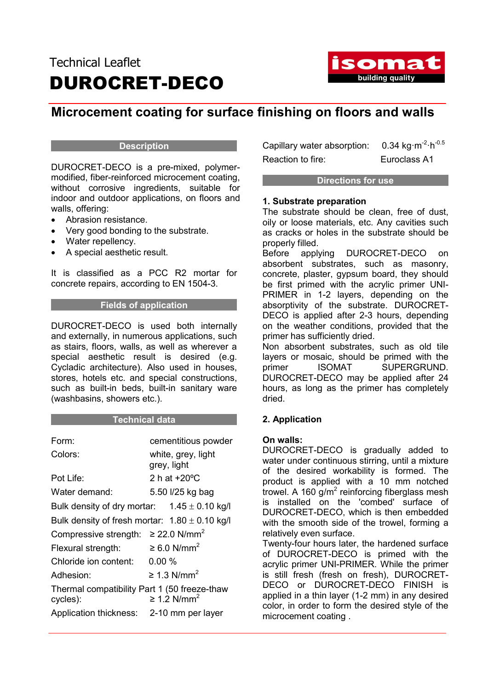## Technical Leaflet DUROCRET-DECO



### Microcement coating for surface finishing on floors and walls

#### **Description**

DUROCRET-DECO is a pre-mixed, polymermodified, fiber-reinforced microcement coating, without corrosive ingredients, suitable for indoor and outdoor applications, on floors and walls, offering:

- Abrasion resistance.
- Very good bonding to the substrate.
- Water repellency.
- A special aesthetic result.

It is classified as a PCC R2 mortar for concrete repairs, according to EN 1504-3.

#### Fields of application

DUROCRET-DECO is used both internally and externally, in numerous applications, such as stairs, floors, walls, as well as wherever a special aesthetic result is desired (e.g. Cycladic architecture). Also used in houses, stores, hotels etc. and special constructions, such as built-in beds, built-in sanitary ware (washbasins, showers etc.).

#### Technical data

| Form:                                                    | cementitious powder               |
|----------------------------------------------------------|-----------------------------------|
| Colors:                                                  | white, grey, light<br>grey, light |
| Pot Life:                                                | 2 h at $+20^{\circ}$ C            |
| Water demand:                                            | 5.50 l/25 kg bag                  |
| Bulk density of dry mortar: $1.45 \pm 0.10$ kg/l         |                                   |
| Bulk density of fresh mortar: $1.80 \pm 0.10$ kg/l       |                                   |
| Compressive strength: $\geq$ 22.0 N/mm <sup>2</sup>      |                                   |
| Flexural strength:                                       | $\geq 6.0$ N/mm <sup>2</sup>      |
| Chloride ion content:                                    | $0.00\%$                          |
| Adhesion:                                                | $\geq$ 1.3 N/mm <sup>2</sup>      |
| Thermal compatibility Part 1 (50 freeze-thaw<br>cycles): | $\geq 1.2$ N/mm <sup>2</sup>      |
| Application thickness: 2-10 mm per layer                 |                                   |

Capillary water absorption:  $0.34 \text{ kg} \cdot \text{m}^{-2} \cdot \text{h}^{-0.5}$ Reaction to fire: Furoclass A1

#### Directions for use

#### 1. Substrate preparation

The substrate should be clean, free of dust, oily or loose materials, etc. Any cavities such as cracks or holes in the substrate should be properly filled.

Before applying DUROCRET-DECO on absorbent substrates, such as masonry, concrete, plaster, gypsum board, they should be first primed with the acrylic primer UNI-PRIMER in 1-2 layers, depending on the absorptivity of the substrate. DUROCRET-DECO is applied after 2-3 hours, depending on the weather conditions, provided that the primer has sufficiently dried.

Non absorbent substrates, such as old tile layers or mosaic, should be primed with the primer ISOMAT SUPERGRUND. DUROCRET-DECO may be applied after 24 hours, as long as the primer has completely dried.

#### 2. Application

#### On walls:

DUROCRET-DECO is gradually added to water under continuous stirring, until a mixture of the desired workability is formed. The product is applied with a 10 mm notched trowel. A 160  $g/m^2$  reinforcing fiberglass mesh is installed on the 'combed' surface of DUROCRET-DECO, which is then embedded with the smooth side of the trowel, forming a relatively even surface.

Twenty-four hours later, the hardened surface of DUROCRET-DECO is primed with the acrylic primer UNI-PRIMER. While the primer is still fresh (fresh on fresh), DUROCRET-DECO or DUROCRET-DECO FINISH is applied in a thin layer (1-2 mm) in any desired color, in order to form the desired style of the microcement coating .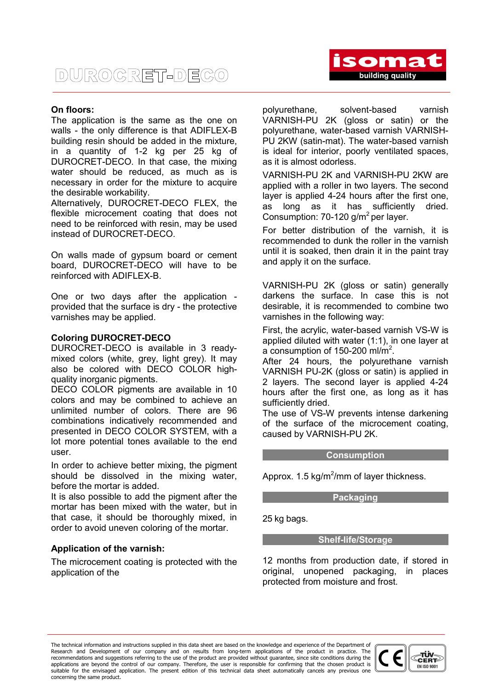#### On floors:

The application is the same as the one on walls - the only difference is that ADIFLEX-B building resin should be added in the mixture, in a quantity of 1-2 kg per 25 kg of DUROCRET-DECO. In that case, the mixing water should be reduced, as much as is necessary in order for the mixture to acquire the desirable workability.

Alternatively, DUROCRET-DECO FLEX, the flexible microcement coating that does not need to be reinforced with resin, may be used instead of DUROCRET-DECO.

On walls made of gypsum board or cement board, DUROCRET-DECO will have to be reinforced with ADIFLEX-B.

One or two days after the application provided that the surface is dry - the protective varnishes may be applied.

#### Coloring DUROCRET-DECO

DUROCRET-DECO is available in 3 readymixed colors (white, grey, light grey). It may also be colored with DECO COLOR highquality inorganic pigments.

DECO COLOR pigments are available in 10 colors and may be combined to achieve an unlimited number of colors. There are 96 combinations indicatively recommended and presented in DECO COLOR SYSTEM, with a lot more potential tones available to the end user.

In order to achieve better mixing, the pigment should be dissolved in the mixing water, before the mortar is added.

It is also possible to add the pigment after the mortar has been mixed with the water, but in that case, it should be thoroughly mixed, in order to avoid uneven coloring of the mortar.

#### Application of the varnish:

The microcement coating is protected with the application of the

polyurethane, solvent-based varnish VARNISH-PU 2K (gloss or satin) or the polyurethane, water-based varnish VARNISH-PU 2KW (satin-mat). The water-based varnish is ideal for interior, poorly ventilated spaces, as it is almost odorless.

VARNISH-PU 2K and VARNISH-PU 2KW are applied with a roller in two layers. The second layer is applied 4-24 hours after the first one, as long as it has sufficiently dried. Consumption: 70-120  $g/m^2$  per layer.

For better distribution of the varnish, it is recommended to dunk the roller in the varnish until it is soaked, then drain it in the paint tray and apply it on the surface.

VARNISH-PU 2K (gloss or satin) generally darkens the surface. In case this is not desirable, it is recommended to combine two varnishes in the following way:

First, the acrylic, water-based varnish VS-W is applied diluted with water (1:1), in one layer at a consumption of 150-200 ml/m<sup>2</sup>.

After 24 hours, the polyurethane varnish VARNISH PU-2K (gloss or satin) is applied in 2 layers. The second layer is applied 4-24 hours after the first one, as long as it has sufficiently dried.

The use of VS-W prevents intense darkening of the surface of the microcement coating, caused by VARNISH-PU 2K.

#### **Consumption**

Approx.  $1.5 \text{ kg/m}^2/\text{mm}$  of layer thickness.

Packaging

25 kg bags.

Shelf-life/Storage

12 months from production date, if stored in original, unopened packaging, in places protected from moisture and frost.